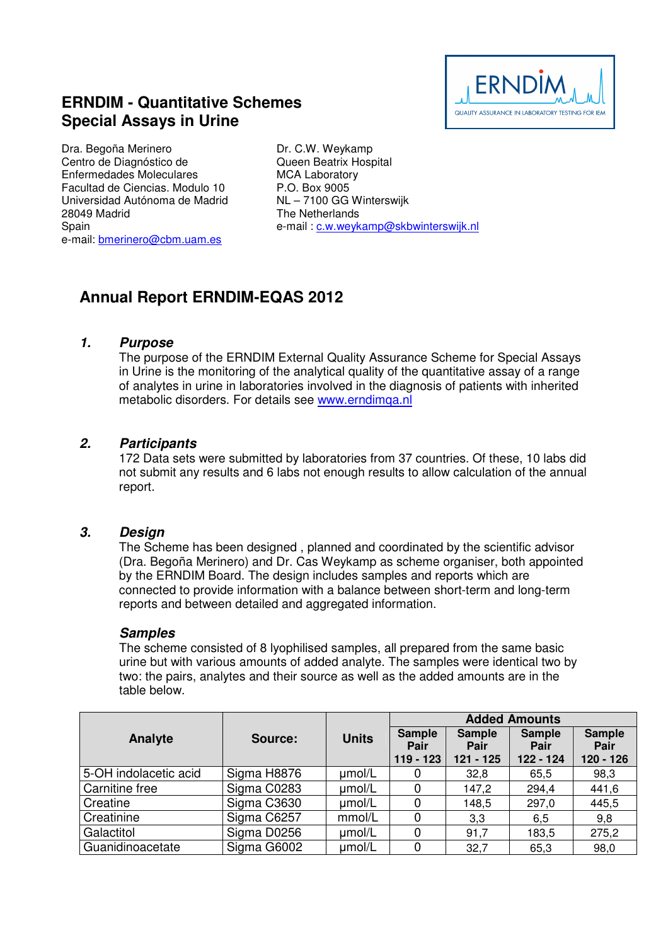# **ERNDIM - Quantitative Schemes Special Assays in Urine**

Dra. Begoña Merinero Centro de Diagnóstico de Enfermedades Moleculares Facultad de Ciencias. Modulo 10 Universidad Autónoma de Madrid 28049 Madrid **Spain** e-mail: bmerinero@cbm.uam.es

Dr. C.W. Weykamp Queen Beatrix Hospital MCA Laboratory P.O. Box 9005 NL – 7100 GG Winterswijk The Netherlands e-mail : c.w.weykamp@skbwinterswijk.nl

# **Annual Report ERNDIM-EQAS 2012**

#### **1. Purpose**

The purpose of the ERNDIM External Quality Assurance Scheme for Special Assays in Urine is the monitoring of the analytical quality of the quantitative assay of a range of analytes in urine in laboratories involved in the diagnosis of patients with inherited metabolic disorders. For details see www.erndimqa.nl

## **2. Participants**

172 Data sets were submitted by laboratories from 37 countries. Of these, 10 labs did not submit any results and 6 labs not enough results to allow calculation of the annual report.

#### **3. Design**

The Scheme has been designed , planned and coordinated by the scientific advisor (Dra. Begoña Merinero) and Dr. Cas Weykamp as scheme organiser, both appointed by the ERNDIM Board. The design includes samples and reports which are connected to provide information with a balance between short-term and long-term reports and between detailed and aggregated information.

#### **Samples**

The scheme consisted of 8 lyophilised samples, all prepared from the same basic urine but with various amounts of added analyte. The samples were identical two by two: the pairs, analytes and their source as well as the added amounts are in the table below.

|                       |             |              | <b>Added Amounts</b>                 |                                      |                                    |                                    |
|-----------------------|-------------|--------------|--------------------------------------|--------------------------------------|------------------------------------|------------------------------------|
| Analyte               | Source:     | <b>Units</b> | <b>Sample</b><br>Pair<br>$119 - 123$ | <b>Sample</b><br>Pair<br>$121 - 125$ | <b>Sample</b><br>Pair<br>122 - 124 | <b>Sample</b><br>Pair<br>120 - 126 |
| 5-OH indolacetic acid | Sigma H8876 | µmol/L       |                                      | 32,8                                 | 65,5                               | 98,3                               |
| Carnitine free        | Sigma C0283 | umol/L       |                                      | 147,2                                | 294,4                              | 441,6                              |
| Creatine              | Sigma C3630 | umol/L       |                                      | 148,5                                | 297,0                              | 445,5                              |
| Creatinine            | Sigma C6257 | mmol/L       |                                      | 3,3                                  | 6,5                                | 9,8                                |
| Galactitol            | Sigma D0256 | umol/L       |                                      | 91,7                                 | 183,5                              | 275,2                              |
| Guanidinoacetate      | Sigma G6002 | umol/L       |                                      | 32,7                                 | 65,3                               | 98,0                               |

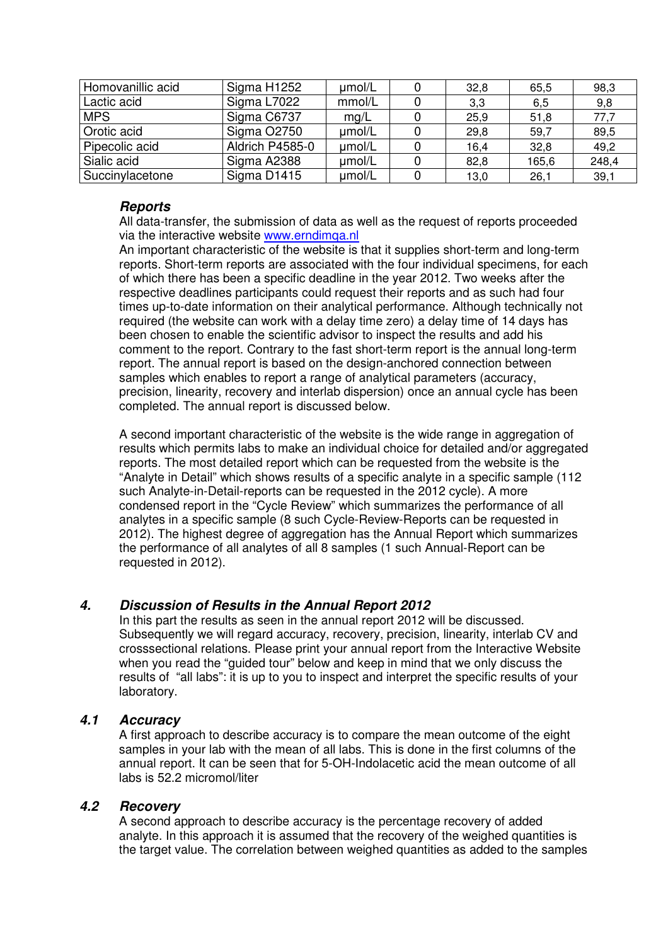| Homovanillic acid | Sigma H1252     | umol/L | 32,8 | 65,5  | 98,3  |
|-------------------|-----------------|--------|------|-------|-------|
| Lactic acid       | Sigma L7022     | mmol/L | 3,3  | 6,5   | 9,8   |
| <b>MPS</b>        | Sigma C6737     | mg/L   | 25,9 | 51,8  | 77,7  |
| Orotic acid       | Sigma O2750     | umol/L | 29,8 | 59,7  | 89,5  |
| Pipecolic acid    | Aldrich P4585-0 | umol/L | 16,4 | 32,8  | 49,2  |
| Sialic acid       | Sigma A2388     | µmol/L | 82,8 | 165,6 | 248,4 |
| Succinylacetone   | Sigma D1415     | umol/L | 13,0 | 26,1  | 39,1  |

## **Reports**

All data-transfer, the submission of data as well as the request of reports proceeded via the interactive website www.erndimqa.nl

An important characteristic of the website is that it supplies short-term and long-term reports. Short-term reports are associated with the four individual specimens, for each of which there has been a specific deadline in the year 2012. Two weeks after the respective deadlines participants could request their reports and as such had four times up-to-date information on their analytical performance. Although technically not required (the website can work with a delay time zero) a delay time of 14 days has been chosen to enable the scientific advisor to inspect the results and add his comment to the report. Contrary to the fast short-term report is the annual long-term report. The annual report is based on the design-anchored connection between samples which enables to report a range of analytical parameters (accuracy, precision, linearity, recovery and interlab dispersion) once an annual cycle has been completed. The annual report is discussed below.

A second important characteristic of the website is the wide range in aggregation of results which permits labs to make an individual choice for detailed and/or aggregated reports. The most detailed report which can be requested from the website is the "Analyte in Detail" which shows results of a specific analyte in a specific sample (112 such Analyte-in-Detail-reports can be requested in the 2012 cycle). A more condensed report in the "Cycle Review" which summarizes the performance of all analytes in a specific sample (8 such Cycle-Review-Reports can be requested in 2012). The highest degree of aggregation has the Annual Report which summarizes the performance of all analytes of all 8 samples (1 such Annual-Report can be requested in 2012).

# **4. Discussion of Results in the Annual Report 2012**

In this part the results as seen in the annual report 2012 will be discussed. Subsequently we will regard accuracy, recovery, precision, linearity, interlab CV and crosssectional relations. Please print your annual report from the Interactive Website when you read the "guided tour" below and keep in mind that we only discuss the results of "all labs": it is up to you to inspect and interpret the specific results of your laboratory.

## **4.1 Accuracy**

A first approach to describe accuracy is to compare the mean outcome of the eight samples in your lab with the mean of all labs. This is done in the first columns of the annual report. It can be seen that for 5-OH-Indolacetic acid the mean outcome of all labs is 52.2 micromol/liter

## **4.2 Recovery**

A second approach to describe accuracy is the percentage recovery of added analyte. In this approach it is assumed that the recovery of the weighed quantities is the target value. The correlation between weighed quantities as added to the samples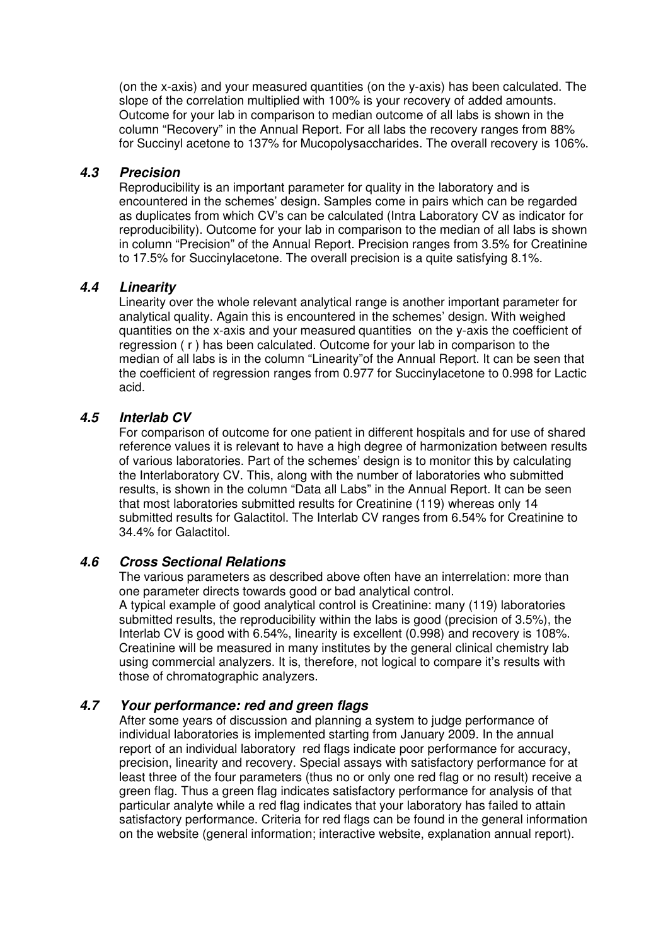(on the x-axis) and your measured quantities (on the y-axis) has been calculated. The slope of the correlation multiplied with 100% is your recovery of added amounts. Outcome for your lab in comparison to median outcome of all labs is shown in the column "Recovery" in the Annual Report. For all labs the recovery ranges from 88% for Succinyl acetone to 137% for Mucopolysaccharides. The overall recovery is 106%.

## **4.3 Precision**

Reproducibility is an important parameter for quality in the laboratory and is encountered in the schemes' design. Samples come in pairs which can be regarded as duplicates from which CV's can be calculated (Intra Laboratory CV as indicator for reproducibility). Outcome for your lab in comparison to the median of all labs is shown in column "Precision" of the Annual Report. Precision ranges from 3.5% for Creatinine to 17.5% for Succinylacetone. The overall precision is a quite satisfying 8.1%.

#### **4.4 Linearity**

Linearity over the whole relevant analytical range is another important parameter for analytical quality. Again this is encountered in the schemes' design. With weighed quantities on the x-axis and your measured quantities on the y-axis the coefficient of regression ( r ) has been calculated. Outcome for your lab in comparison to the median of all labs is in the column "Linearity"of the Annual Report. It can be seen that the coefficient of regression ranges from 0.977 for Succinylacetone to 0.998 for Lactic acid.

#### **4.5 Interlab CV**

For comparison of outcome for one patient in different hospitals and for use of shared reference values it is relevant to have a high degree of harmonization between results of various laboratories. Part of the schemes' design is to monitor this by calculating the Interlaboratory CV. This, along with the number of laboratories who submitted results, is shown in the column "Data all Labs" in the Annual Report. It can be seen that most laboratories submitted results for Creatinine (119) whereas only 14 submitted results for Galactitol. The Interlab CV ranges from 6.54% for Creatinine to 34.4% for Galactitol.

## **4.6 Cross Sectional Relations**

The various parameters as described above often have an interrelation: more than one parameter directs towards good or bad analytical control. A typical example of good analytical control is Creatinine: many (119) laboratories submitted results, the reproducibility within the labs is good (precision of 3.5%), the Interlab CV is good with 6.54%, linearity is excellent (0.998) and recovery is 108%. Creatinine will be measured in many institutes by the general clinical chemistry lab using commercial analyzers. It is, therefore, not logical to compare it's results with those of chromatographic analyzers.

## **4.7 Your performance: red and green flags**

After some years of discussion and planning a system to judge performance of individual laboratories is implemented starting from January 2009. In the annual report of an individual laboratory red flags indicate poor performance for accuracy, precision, linearity and recovery. Special assays with satisfactory performance for at least three of the four parameters (thus no or only one red flag or no result) receive a green flag. Thus a green flag indicates satisfactory performance for analysis of that particular analyte while a red flag indicates that your laboratory has failed to attain satisfactory performance. Criteria for red flags can be found in the general information on the website (general information; interactive website, explanation annual report).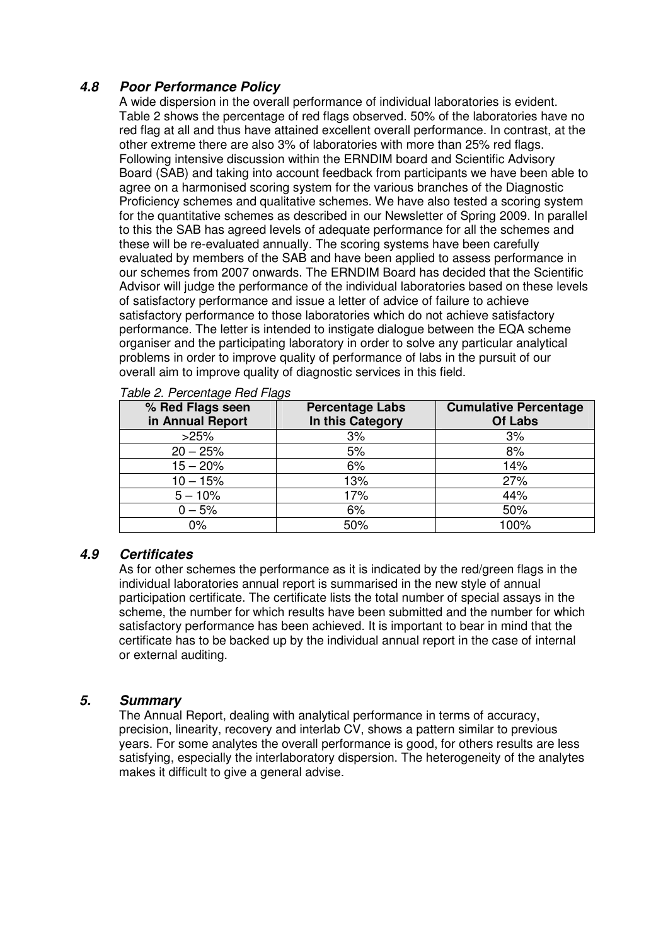# **4.8 Poor Performance Policy**

A wide dispersion in the overall performance of individual laboratories is evident. Table 2 shows the percentage of red flags observed. 50% of the laboratories have no red flag at all and thus have attained excellent overall performance. In contrast, at the other extreme there are also 3% of laboratories with more than 25% red flags. Following intensive discussion within the ERNDIM board and Scientific Advisory Board (SAB) and taking into account feedback from participants we have been able to agree on a harmonised scoring system for the various branches of the Diagnostic Proficiency schemes and qualitative schemes. We have also tested a scoring system for the quantitative schemes as described in our Newsletter of Spring 2009. In parallel to this the SAB has agreed levels of adequate performance for all the schemes and these will be re-evaluated annually. The scoring systems have been carefully evaluated by members of the SAB and have been applied to assess performance in our schemes from 2007 onwards. The ERNDIM Board has decided that the Scientific Advisor will judge the performance of the individual laboratories based on these levels of satisfactory performance and issue a letter of advice of failure to achieve satisfactory performance to those laboratories which do not achieve satisfactory performance. The letter is intended to instigate dialogue between the EQA scheme organiser and the participating laboratory in order to solve any particular analytical problems in order to improve quality of performance of labs in the pursuit of our overall aim to improve quality of diagnostic services in this field.

| % Red Flags seen<br>in Annual Report | <b>Percentage Labs</b><br>In this Category | <b>Cumulative Percentage</b><br>Of Labs |
|--------------------------------------|--------------------------------------------|-----------------------------------------|
| >25%                                 | 3%                                         | 3%                                      |
| $20 - 25%$                           | 5%                                         | 8%                                      |
| $15 - 20%$                           | 6%                                         | 14%                                     |
| $10 - 15%$                           | 13%                                        | 27%                                     |
| $5 - 10%$                            | 17%                                        | 44%                                     |
| $0 - 5%$                             | 6%                                         | 50%                                     |
| $0\%$                                | 50%                                        | 100%                                    |

Table 2. Percentage Red Flags

#### **4.9 Certificates**

As for other schemes the performance as it is indicated by the red/green flags in the individual laboratories annual report is summarised in the new style of annual participation certificate. The certificate lists the total number of special assays in the scheme, the number for which results have been submitted and the number for which satisfactory performance has been achieved. It is important to bear in mind that the certificate has to be backed up by the individual annual report in the case of internal or external auditing.

## **5. Summary**

The Annual Report, dealing with analytical performance in terms of accuracy, precision, linearity, recovery and interlab CV, shows a pattern similar to previous years. For some analytes the overall performance is good, for others results are less satisfying, especially the interlaboratory dispersion. The heterogeneity of the analytes makes it difficult to give a general advise.